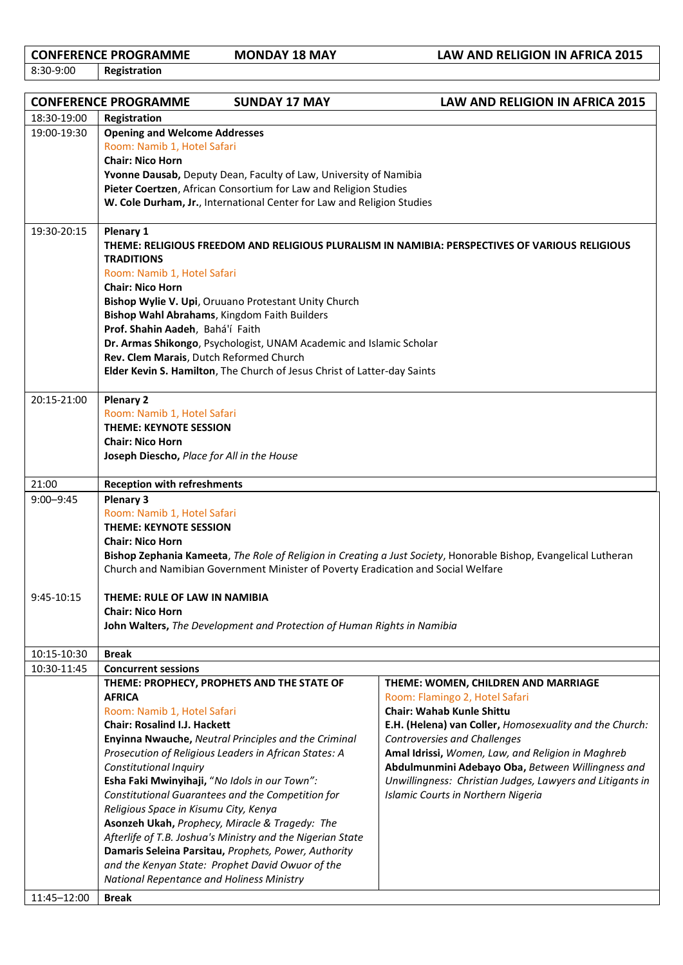8:30-9:00 **Registration**

**CONFERENCE PROGRAMME MONDAY 18 MAY LAW AND RELIGION IN AFRICA 2015**<br>8:30-9:00 **Registration** 

|               | <b>CONFERENCE PROGRAMME</b>                                                                                                                                                                                                                                                                                                                                                                                                                                                                                                          | <b>SUNDAY 17 MAY</b>                                                                                                                                                                                                                                                                                                                                                                                                                                                                          | <b>LAW AND RELIGION IN AFRICA 2015</b>                                                                                                                                                                                                                                                                                                                                                                                   |  |  |
|---------------|--------------------------------------------------------------------------------------------------------------------------------------------------------------------------------------------------------------------------------------------------------------------------------------------------------------------------------------------------------------------------------------------------------------------------------------------------------------------------------------------------------------------------------------|-----------------------------------------------------------------------------------------------------------------------------------------------------------------------------------------------------------------------------------------------------------------------------------------------------------------------------------------------------------------------------------------------------------------------------------------------------------------------------------------------|--------------------------------------------------------------------------------------------------------------------------------------------------------------------------------------------------------------------------------------------------------------------------------------------------------------------------------------------------------------------------------------------------------------------------|--|--|
| 18:30-19:00   | Registration                                                                                                                                                                                                                                                                                                                                                                                                                                                                                                                         |                                                                                                                                                                                                                                                                                                                                                                                                                                                                                               |                                                                                                                                                                                                                                                                                                                                                                                                                          |  |  |
| 19:00-19:30   | <b>Opening and Welcome Addresses</b><br>Room: Namib 1, Hotel Safari<br><b>Chair: Nico Horn</b><br>Yvonne Dausab, Deputy Dean, Faculty of Law, University of Namibia<br>Pieter Coertzen, African Consortium for Law and Religion Studies<br>W. Cole Durham, Jr., International Center for Law and Religion Studies                                                                                                                                                                                                                    |                                                                                                                                                                                                                                                                                                                                                                                                                                                                                               |                                                                                                                                                                                                                                                                                                                                                                                                                          |  |  |
| 19:30-20:15   | Plenary 1<br>THEME: RELIGIOUS FREEDOM AND RELIGIOUS PLURALISM IN NAMIBIA: PERSPECTIVES OF VARIOUS RELIGIOUS<br><b>TRADITIONS</b><br>Room: Namib 1, Hotel Safari<br><b>Chair: Nico Horn</b><br>Bishop Wylie V. Upi, Oruuano Protestant Unity Church<br>Bishop Wahl Abrahams, Kingdom Faith Builders<br>Prof. Shahin Aadeh, Bahá'í Faith<br>Dr. Armas Shikongo, Psychologist, UNAM Academic and Islamic Scholar<br>Rev. Clem Marais, Dutch Reformed Church<br>Elder Kevin S. Hamilton, The Church of Jesus Christ of Latter-day Saints |                                                                                                                                                                                                                                                                                                                                                                                                                                                                                               |                                                                                                                                                                                                                                                                                                                                                                                                                          |  |  |
| 20:15-21:00   | <b>Plenary 2</b><br>Room: Namib 1, Hotel Safari<br><b>THEME: KEYNOTE SESSION</b><br><b>Chair: Nico Horn</b>                                                                                                                                                                                                                                                                                                                                                                                                                          |                                                                                                                                                                                                                                                                                                                                                                                                                                                                                               |                                                                                                                                                                                                                                                                                                                                                                                                                          |  |  |
| 21:00         | Joseph Diescho, Place for All in the House                                                                                                                                                                                                                                                                                                                                                                                                                                                                                           |                                                                                                                                                                                                                                                                                                                                                                                                                                                                                               |                                                                                                                                                                                                                                                                                                                                                                                                                          |  |  |
| $9:00 - 9:45$ | <b>Reception with refreshments</b><br><b>Plenary 3</b><br>Room: Namib 1, Hotel Safari<br><b>THEME: KEYNOTE SESSION</b><br><b>Chair: Nico Horn</b><br>Bishop Zephania Kameeta, The Role of Religion in Creating a Just Society, Honorable Bishop, Evangelical Lutheran<br>Church and Namibian Government Minister of Poverty Eradication and Social Welfare                                                                                                                                                                           |                                                                                                                                                                                                                                                                                                                                                                                                                                                                                               |                                                                                                                                                                                                                                                                                                                                                                                                                          |  |  |
| 9:45-10:15    | THEME: RULE OF LAW IN NAMIBIA<br><b>Chair: Nico Horn</b><br>John Walters, The Development and Protection of Human Rights in Namibia                                                                                                                                                                                                                                                                                                                                                                                                  |                                                                                                                                                                                                                                                                                                                                                                                                                                                                                               |                                                                                                                                                                                                                                                                                                                                                                                                                          |  |  |
| 10:15-10:30   | <b>Break</b>                                                                                                                                                                                                                                                                                                                                                                                                                                                                                                                         |                                                                                                                                                                                                                                                                                                                                                                                                                                                                                               |                                                                                                                                                                                                                                                                                                                                                                                                                          |  |  |
| 10:30-11:45   | <b>Concurrent sessions</b>                                                                                                                                                                                                                                                                                                                                                                                                                                                                                                           |                                                                                                                                                                                                                                                                                                                                                                                                                                                                                               |                                                                                                                                                                                                                                                                                                                                                                                                                          |  |  |
|               | <b>AFRICA</b><br>Room: Namib 1, Hotel Safari<br><b>Chair: Rosalind I.J. Hackett</b><br><b>Constitutional Inquiry</b><br>Religious Space in Kisumu City, Kenya                                                                                                                                                                                                                                                                                                                                                                        | THEME: PROPHECY, PROPHETS AND THE STATE OF<br>Enyinna Nwauche, Neutral Principles and the Criminal<br>Prosecution of Religious Leaders in African States: A<br>Esha Faki Mwinyihaji, "No Idols in our Town":<br>Constitutional Guarantees and the Competition for<br>Asonzeh Ukah, Prophecy, Miracle & Tragedy: The<br>Afterlife of T.B. Joshua's Ministry and the Nigerian State<br>Damaris Seleina Parsitau, Prophets, Power, Authority<br>and the Kenyan State: Prophet David Owuor of the | THEME: WOMEN, CHILDREN AND MARRIAGE<br>Room: Flamingo 2, Hotel Safari<br><b>Chair: Wahab Kunle Shittu</b><br>E.H. (Helena) van Coller, Homosexuality and the Church:<br><b>Controversies and Challenges</b><br>Amal Idrissi, Women, Law, and Religion in Maghreb<br>Abdulmunmini Adebayo Oba, Between Willingness and<br>Unwillingness: Christian Judges, Lawyers and Litigants in<br>Islamic Courts in Northern Nigeria |  |  |
|               | National Repentance and Holiness Ministry                                                                                                                                                                                                                                                                                                                                                                                                                                                                                            |                                                                                                                                                                                                                                                                                                                                                                                                                                                                                               |                                                                                                                                                                                                                                                                                                                                                                                                                          |  |  |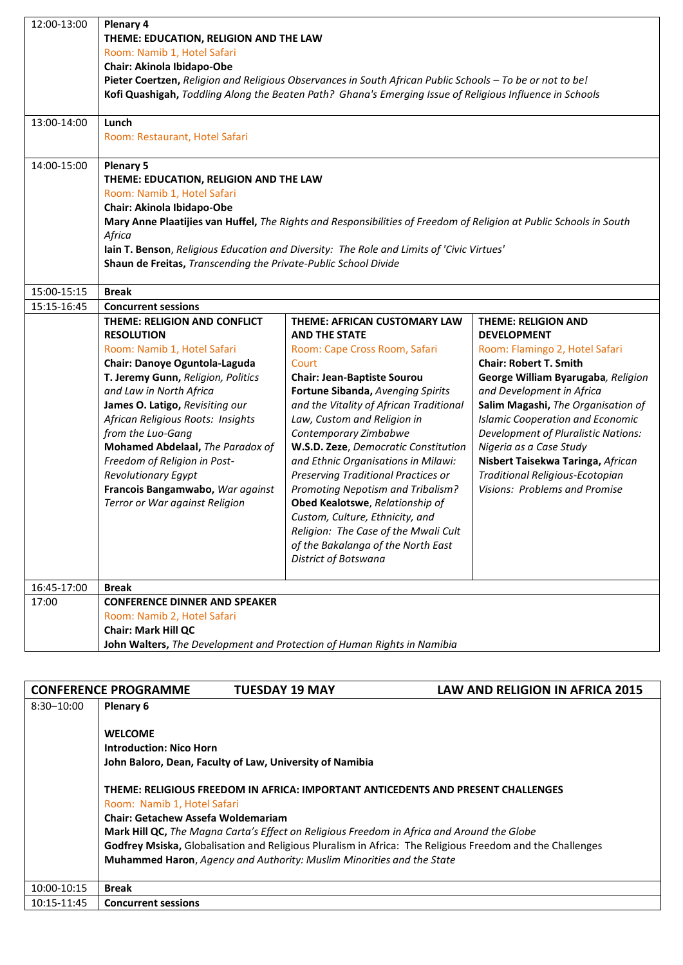| 12:00-13:00 | Plenary 4<br>THEME: EDUCATION, RELIGION AND THE LAW                                                                          |                                                                                           |                                                                 |  |  |  |  |  |
|-------------|------------------------------------------------------------------------------------------------------------------------------|-------------------------------------------------------------------------------------------|-----------------------------------------------------------------|--|--|--|--|--|
|             | Room: Namib 1, Hotel Safari                                                                                                  |                                                                                           |                                                                 |  |  |  |  |  |
|             | Chair: Akinola Ibidapo-Obe                                                                                                   |                                                                                           |                                                                 |  |  |  |  |  |
|             | Pieter Coertzen, Religion and Religious Observances in South African Public Schools - To be or not to be!                    |                                                                                           |                                                                 |  |  |  |  |  |
|             | Kofi Quashigah, Toddling Along the Beaten Path? Ghana's Emerging Issue of Religious Influence in Schools                     |                                                                                           |                                                                 |  |  |  |  |  |
| 13:00-14:00 | Lunch                                                                                                                        |                                                                                           |                                                                 |  |  |  |  |  |
|             | Room: Restaurant, Hotel Safari                                                                                               |                                                                                           |                                                                 |  |  |  |  |  |
| 14:00-15:00 | <b>Plenary 5</b>                                                                                                             |                                                                                           |                                                                 |  |  |  |  |  |
|             | THEME: EDUCATION, RELIGION AND THE LAW                                                                                       |                                                                                           |                                                                 |  |  |  |  |  |
|             | Room: Namib 1, Hotel Safari<br>Chair: Akinola Ibidapo-Obe                                                                    |                                                                                           |                                                                 |  |  |  |  |  |
|             |                                                                                                                              |                                                                                           |                                                                 |  |  |  |  |  |
|             | Mary Anne Plaatijies van Huffel, The Rights and Responsibilities of Freedom of Religion at Public Schools in South<br>Africa |                                                                                           |                                                                 |  |  |  |  |  |
|             |                                                                                                                              | lain T. Benson, Religious Education and Diversity: The Role and Limits of 'Civic Virtues' |                                                                 |  |  |  |  |  |
|             | Shaun de Freitas, Transcending the Private-Public School Divide                                                              |                                                                                           |                                                                 |  |  |  |  |  |
|             |                                                                                                                              |                                                                                           |                                                                 |  |  |  |  |  |
| 15:00-15:15 | <b>Break</b>                                                                                                                 |                                                                                           |                                                                 |  |  |  |  |  |
| 15:15-16:45 | <b>Concurrent sessions</b>                                                                                                   |                                                                                           |                                                                 |  |  |  |  |  |
|             | THEME: RELIGION AND CONFLICT                                                                                                 | THEME: AFRICAN CUSTOMARY LAW                                                              | <b>THEME: RELIGION AND</b>                                      |  |  |  |  |  |
|             | <b>RESOLUTION</b>                                                                                                            | <b>AND THE STATE</b>                                                                      | <b>DEVELOPMENT</b>                                              |  |  |  |  |  |
|             | Room: Namib 1, Hotel Safari                                                                                                  | Room: Cape Cross Room, Safari                                                             | Room: Flamingo 2, Hotel Safari                                  |  |  |  |  |  |
|             | Chair: Danoye Oguntola-Laguda                                                                                                | Court                                                                                     | <b>Chair: Robert T. Smith</b>                                   |  |  |  |  |  |
|             | T. Jeremy Gunn, Religion, Politics                                                                                           | <b>Chair: Jean-Baptiste Sourou</b>                                                        | George William Byarugaba, Religion                              |  |  |  |  |  |
|             | and Law in North Africa<br>James O. Latigo, Revisiting our                                                                   | Fortune Sibanda, Avenging Spirits<br>and the Vitality of African Traditional              | and Development in Africa<br>Salim Magashi, The Organisation of |  |  |  |  |  |
|             | African Religious Roots: Insights                                                                                            | Law, Custom and Religion in                                                               | <b>Islamic Cooperation and Economic</b>                         |  |  |  |  |  |
|             | from the Luo-Gang                                                                                                            | Contemporary Zimbabwe                                                                     | <b>Development of Pluralistic Nations:</b>                      |  |  |  |  |  |
|             | Mohamed Abdelaal, The Paradox of                                                                                             | W.S.D. Zeze, Democratic Constitution                                                      | Nigeria as a Case Study                                         |  |  |  |  |  |
|             | Freedom of Religion in Post-                                                                                                 | and Ethnic Organisations in Milawi:                                                       | Nisbert Taisekwa Taringa, African                               |  |  |  |  |  |
|             | <b>Revolutionary Egypt</b>                                                                                                   | Preserving Traditional Practices or                                                       | Traditional Religious-Ecotopian                                 |  |  |  |  |  |
|             | Francois Bangamwabo, War against                                                                                             | Promoting Nepotism and Tribalism?                                                         | <b>Visions: Problems and Promise</b>                            |  |  |  |  |  |
|             | Terror or War against Religion                                                                                               | Obed Kealotswe, Relationship of                                                           |                                                                 |  |  |  |  |  |
|             |                                                                                                                              | Custom, Culture, Ethnicity, and                                                           |                                                                 |  |  |  |  |  |
|             |                                                                                                                              | Religion: The Case of the Mwali Cult                                                      |                                                                 |  |  |  |  |  |
|             |                                                                                                                              | of the Bakalanga of the North East                                                        |                                                                 |  |  |  |  |  |
|             |                                                                                                                              | <b>District of Botswana</b>                                                               |                                                                 |  |  |  |  |  |
| 16:45-17:00 | <b>Break</b>                                                                                                                 |                                                                                           |                                                                 |  |  |  |  |  |
| 17:00       | <b>CONFERENCE DINNER AND SPEAKER</b>                                                                                         |                                                                                           |                                                                 |  |  |  |  |  |
|             | Room: Namib 2, Hotel Safari                                                                                                  |                                                                                           |                                                                 |  |  |  |  |  |
|             | <b>Chair: Mark Hill QC</b><br>John Walters, The Development and Protection of Human Rights in Namibia                        |                                                                                           |                                                                 |  |  |  |  |  |
|             |                                                                                                                              |                                                                                           |                                                                 |  |  |  |  |  |
|             |                                                                                                                              |                                                                                           |                                                                 |  |  |  |  |  |

|                | <b>CONFERENCE PROGRAMME</b>                                                                                                                                                                                                                                                                                                                                                                                                                      | <b>TUESDAY 19 MAY</b> | <b>LAW AND RELIGION IN AFRICA 2015</b> |  |  |
|----------------|--------------------------------------------------------------------------------------------------------------------------------------------------------------------------------------------------------------------------------------------------------------------------------------------------------------------------------------------------------------------------------------------------------------------------------------------------|-----------------------|----------------------------------------|--|--|
| $8:30 - 10:00$ | Plenary 6                                                                                                                                                                                                                                                                                                                                                                                                                                        |                       |                                        |  |  |
|                |                                                                                                                                                                                                                                                                                                                                                                                                                                                  |                       |                                        |  |  |
|                | <b>WELCOME</b>                                                                                                                                                                                                                                                                                                                                                                                                                                   |                       |                                        |  |  |
|                | <b>Introduction: Nico Horn</b>                                                                                                                                                                                                                                                                                                                                                                                                                   |                       |                                        |  |  |
|                | John Baloro, Dean, Faculty of Law, University of Namibia                                                                                                                                                                                                                                                                                                                                                                                         |                       |                                        |  |  |
|                | THEME: RELIGIOUS FREEDOM IN AFRICA: IMPORTANT ANTICEDENTS AND PRESENT CHALLENGES<br>Room: Namib 1, Hotel Safari<br><b>Chair: Getachew Assefa Woldemariam</b><br>Mark Hill QC, The Magna Carta's Effect on Religious Freedom in Africa and Around the Globe<br>Godfrey Msiska, Globalisation and Religious Pluralism in Africa: The Religious Freedom and the Challenges<br>Muhammed Haron, Agency and Authority: Muslim Minorities and the State |                       |                                        |  |  |
| 10:00-10:15    | <b>Break</b>                                                                                                                                                                                                                                                                                                                                                                                                                                     |                       |                                        |  |  |
| 10:15-11:45    | <b>Concurrent sessions</b>                                                                                                                                                                                                                                                                                                                                                                                                                       |                       |                                        |  |  |